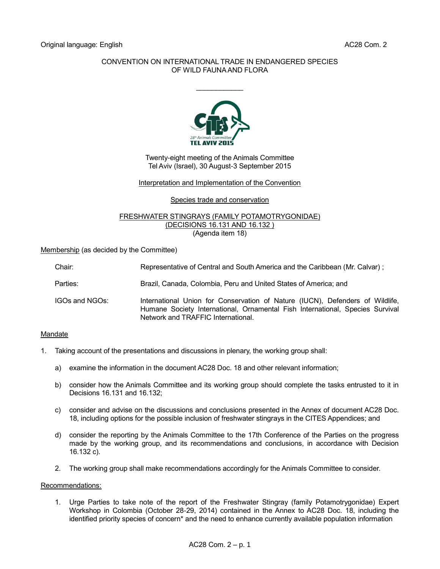# CONVENTION ON INTERNATIONAL TRADE IN ENDANGERED SPECIES OF WILD FAUNA AND FLORA

 $\frac{1}{2}$ 



Twenty-eight meeting of the Animals Committee Tel Aviv (Israel), 30 August-3 September 2015

## Interpretation and Implementation of the Convention

### Species trade and conservation

#### FRESHWATER STINGRAYS (FAMILY POTAMOTRYGONIDAE) (DECISIONS 16.131 AND 16.132 ) (Agenda item 18)

Membership (as decided by the Committee)

| Chair:         | Representative of Central and South America and the Caribbean (Mr. Calvar);                                                                                                                          |
|----------------|------------------------------------------------------------------------------------------------------------------------------------------------------------------------------------------------------|
| Parties:       | Brazil, Canada, Colombia, Peru and United States of America; and                                                                                                                                     |
| IGOs and NGOs: | International Union for Conservation of Nature (IUCN), Defenders of Wildlife,<br>Humane Society International, Ornamental Fish International, Species Survival<br>Network and TRAFFIC International. |

## Mandate

- 1. Taking account of the presentations and discussions in plenary, the working group shall:
	- a) examine the information in the document AC28 Doc. 18 and other relevant information;
	- b) consider how the Animals Committee and its working group should complete the tasks entrusted to it in Decisions 16.131 and 16.132;
	- c) consider and advise on the discussions and conclusions presented in the Annex of document AC28 Doc. 18, including options for the possible inclusion of freshwater stingrays in the CITES Appendices; and
	- d) consider the reporting by the Animals Committee to the 17th Conference of the Parties on the progress made by the working group, and its recommendations and conclusions, in accordance with Decision 16.132 c).
	- 2. The working group shall make recommendations accordingly for the Animals Committee to consider.

#### Recommendations:

1. Urge Parties to take note of the report of the Freshwater Stingray (family Potamotrygonidae) Expert Workshop in Colombia (October 28-29, 2014) contained in the Annex to AC28 Doc. 18, including the identified priority species of concern<sup>\*</sup> and the need to enhance currently available population information